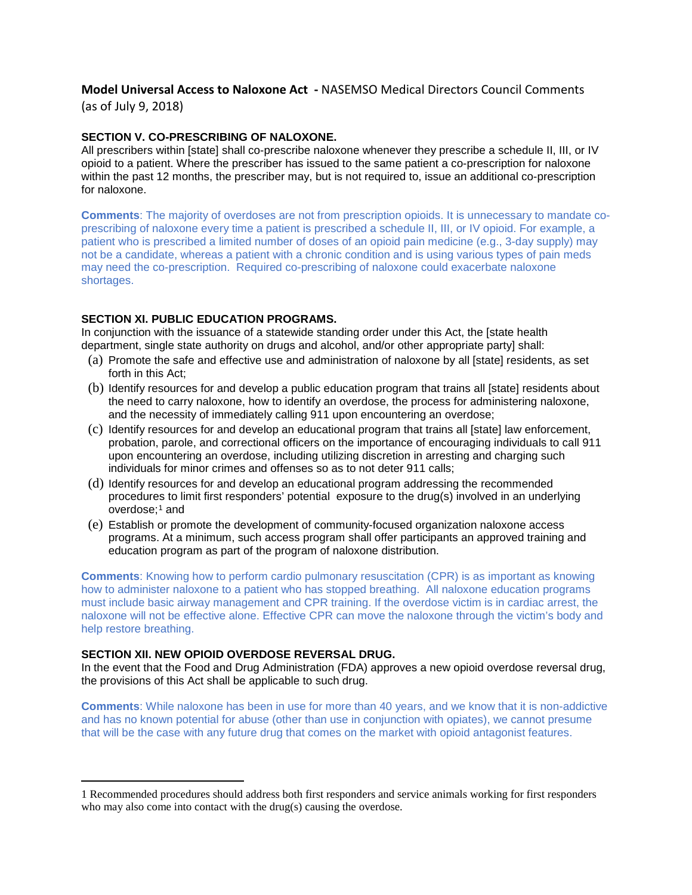# **Model Universal Access to Naloxone Act -** NASEMSO Medical Directors Council Comments

(as of July 9, 2018)

## **SECTION V. CO-PRESCRIBING OF NALOXONE.**

All prescribers within [state] shall co-prescribe naloxone whenever they prescribe a schedule II, III, or IV opioid to a patient. Where the prescriber has issued to the same patient a co-prescription for naloxone within the past 12 months, the prescriber may, but is not required to, issue an additional co-prescription for naloxone.

**Comments**: The majority of overdoses are not from prescription opioids. It is unnecessary to mandate coprescribing of naloxone every time a patient is prescribed a schedule II, III, or IV opioid. For example, a patient who is prescribed a limited number of doses of an opioid pain medicine (e.g., 3-day supply) may not be a candidate, whereas a patient with a chronic condition and is using various types of pain meds may need the co-prescription. Required co-prescribing of naloxone could exacerbate naloxone shortages.

## **SECTION XI. PUBLIC EDUCATION PROGRAMS.**

In conjunction with the issuance of a statewide standing order under this Act, the [state health department, single state authority on drugs and alcohol, and/or other appropriate party] shall:

- (a) Promote the safe and effective use and administration of naloxone by all [state] residents, as set forth in this Act;
- (b) Identify resources for and develop a public education program that trains all [state] residents about the need to carry naloxone, how to identify an overdose, the process for administering naloxone, and the necessity of immediately calling 911 upon encountering an overdose;
- (c) Identify resources for and develop an educational program that trains all [state] law enforcement, probation, parole, and correctional officers on the importance of encouraging individuals to call 911 upon encountering an overdose, including utilizing discretion in arresting and charging such individuals for minor crimes and offenses so as to not deter 911 calls;
- (d) Identify resources for and develop an educational program addressing the recommended procedures to limit first responders' potential exposure to the drug(s) involved in an underlying  $over doese$ :<sup>[1](#page-0-0)</sup> and
- (e) Establish or promote the development of community-focused organization naloxone access programs. At a minimum, such access program shall offer participants an approved training and education program as part of the program of naloxone distribution.

**Comments**: Knowing how to perform cardio pulmonary resuscitation (CPR) is as important as knowing how to administer naloxone to a patient who has stopped breathing. All naloxone education programs must include basic airway management and CPR training. If the overdose victim is in cardiac arrest, the naloxone will not be effective alone. Effective CPR can move the naloxone through the victim's body and help restore breathing.

#### **SECTION XII. NEW OPIOID OVERDOSE REVERSAL DRUG.**

 $\overline{a}$ 

In the event that the Food and Drug Administration (FDA) approves a new opioid overdose reversal drug, the provisions of this Act shall be applicable to such drug.

**Comments**: While naloxone has been in use for more than 40 years, and we know that it is non-addictive and has no known potential for abuse (other than use in conjunction with opiates), we cannot presume that will be the case with any future drug that comes on the market with opioid antagonist features.

<span id="page-0-0"></span><sup>1</sup> Recommended procedures should address both first responders and service animals working for first responders who may also come into contact with the drug(s) causing the overdose.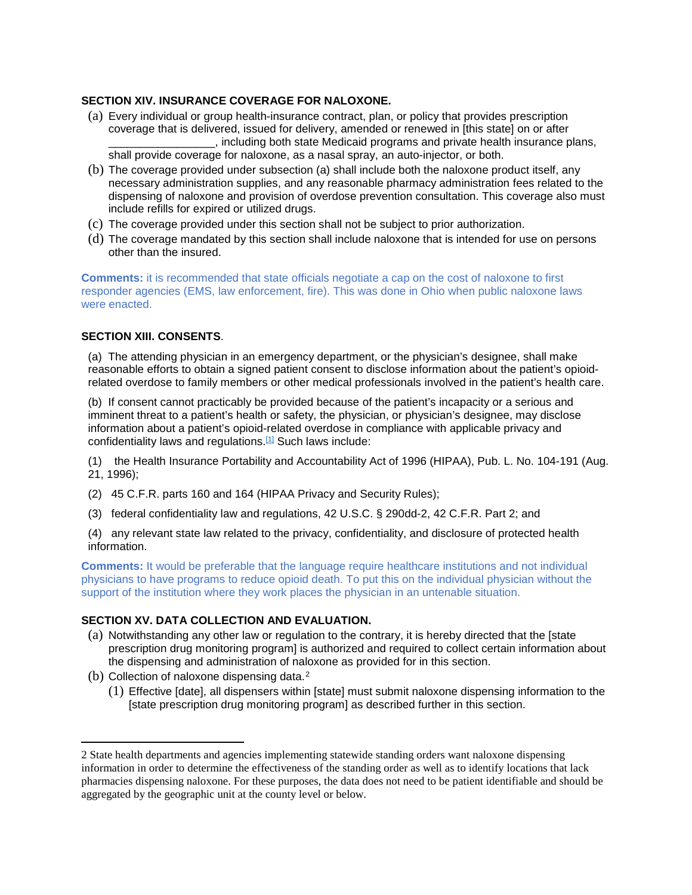#### **SECTION XIV. INSURANCE COVERAGE FOR NALOXONE.**

- (a) Every individual or group health-insurance contract, plan, or policy that provides prescription coverage that is delivered, issued for delivery, amended or renewed in [this state] on or after  $\Box$ , including both state Medicaid programs and private health insurance plans, shall provide coverage for naloxone, as a nasal spray, an auto-injector, or both.
- (b) The coverage provided under subsection (a) shall include both the naloxone product itself, any necessary administration supplies, and any reasonable pharmacy administration fees related to the dispensing of naloxone and provision of overdose prevention consultation. This coverage also must include refills for expired or utilized drugs.
- (c) The coverage provided under this section shall not be subject to prior authorization.
- (d) The coverage mandated by this section shall include naloxone that is intended for use on persons other than the insured.

**Comments:** it is recommended that state officials negotiate a cap on the cost of naloxone to first responder agencies (EMS, law enforcement, fire). This was done in Ohio when public naloxone laws were enacted.

## **SECTION XIII. CONSENTS**.

(a) The attending physician in an emergency department, or the physician's designee, shall make reasonable efforts to obtain a signed patient consent to disclose information about the patient's opioidrelated overdose to family members or other medical professionals involved in the patient's health care.

(b) If consent cannot practicably be provided because of the patient's incapacity or a serious and imminent threat to a patient's health or safety, the physician, or physician's designee, may disclose information about a patient's opioid-related overdose in compliance with applicable privacy and confidentiality laws and regulations[.\[1\]](applewebdata://06B15F5C-B72F-43E4-A163-3AA7545D9246/#_ftn1) Such laws include:

(1) the Health Insurance Portability and Accountability Act of 1996 (HIPAA), Pub. L. No. 104-191 (Aug. 21, 1996);

- (2) 45 C.F.R. parts 160 and 164 (HIPAA Privacy and Security Rules);
- (3) federal confidentiality law and regulations, 42 U.S.C. § 290dd-2, 42 C.F.R. Part 2; and

(4) any relevant state law related to the privacy, confidentiality, and disclosure of protected health information.

**Comments:** It would be preferable that the language require healthcare institutions and not individual physicians to have programs to reduce opioid death. To put this on the individual physician without the support of the institution where they work places the physician in an untenable situation.

#### **SECTION XV. DATA COLLECTION AND EVALUATION.**

- (a) Notwithstanding any other law or regulation to the contrary, it is hereby directed that the [state prescription drug monitoring program] is authorized and required to collect certain information about the dispensing and administration of naloxone as provided for in this section.
- (b) Collection of naloxone dispensing data.<sup>[2](#page-1-0)</sup>

 $\overline{a}$ 

(1) Effective [date], all dispensers within [state] must submit naloxone dispensing information to the [state prescription drug monitoring program] as described further in this section.

<span id="page-1-0"></span><sup>2</sup> State health departments and agencies implementing statewide standing orders want naloxone dispensing information in order to determine the effectiveness of the standing order as well as to identify locations that lack pharmacies dispensing naloxone. For these purposes, the data does not need to be patient identifiable and should be aggregated by the geographic unit at the county level or below.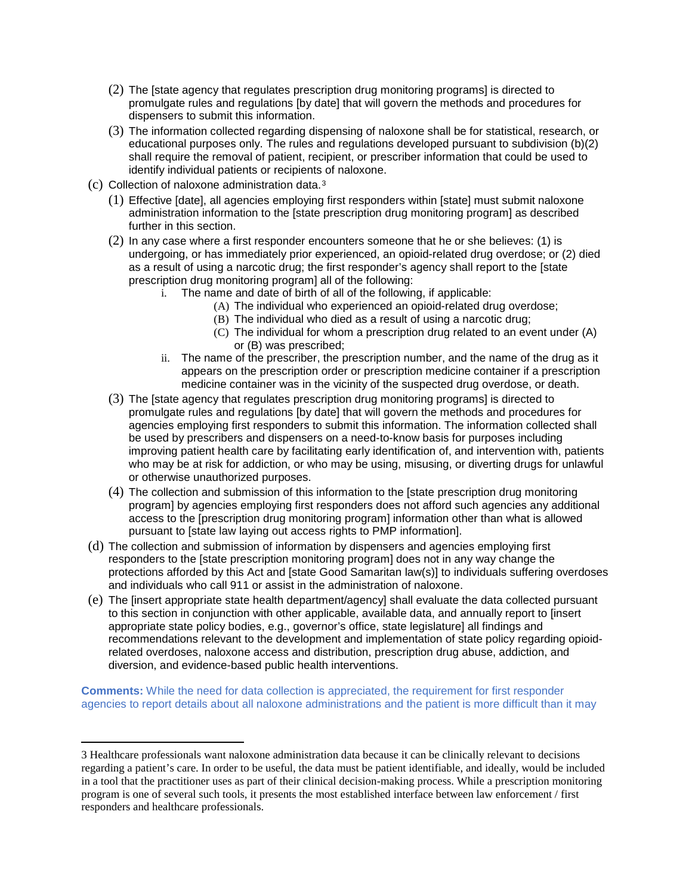- (2) The [state agency that regulates prescription drug monitoring programs] is directed to promulgate rules and regulations [by date] that will govern the methods and procedures for dispensers to submit this information.
- (3) The information collected regarding dispensing of naloxone shall be for statistical, research, or educational purposes only. The rules and regulations developed pursuant to subdivision (b)(2) shall require the removal of patient, recipient, or prescriber information that could be used to identify individual patients or recipients of naloxone.
- (c) Collection of naloxone administration data.[3](#page-2-0)

 $\overline{a}$ 

- (1) Effective [date], all agencies employing first responders within [state] must submit naloxone administration information to the [state prescription drug monitoring program] as described further in this section.
- (2) In any case where a first responder encounters someone that he or she believes: (1) is undergoing, or has immediately prior experienced, an opioid-related drug overdose; or (2) died as a result of using a narcotic drug; the first responder's agency shall report to the [state prescription drug monitoring program] all of the following:
	- i. The name and date of birth of all of the following, if applicable:
		- (A) The individual who experienced an opioid-related drug overdose;
		- (B) The individual who died as a result of using a narcotic drug;
		- (C) The individual for whom a prescription drug related to an event under (A) or (B) was prescribed;
	- ii. The name of the prescriber, the prescription number, and the name of the drug as it appears on the prescription order or prescription medicine container if a prescription medicine container was in the vicinity of the suspected drug overdose, or death.
- (3) The [state agency that regulates prescription drug monitoring programs] is directed to promulgate rules and regulations [by date] that will govern the methods and procedures for agencies employing first responders to submit this information. The information collected shall be used by prescribers and dispensers on a need-to-know basis for purposes including improving patient health care by facilitating early identification of, and intervention with, patients who may be at risk for addiction, or who may be using, misusing, or diverting drugs for unlawful or otherwise unauthorized purposes.
- (4) The collection and submission of this information to the [state prescription drug monitoring program] by agencies employing first responders does not afford such agencies any additional access to the [prescription drug monitoring program] information other than what is allowed pursuant to [state law laying out access rights to PMP information].
- (d) The collection and submission of information by dispensers and agencies employing first responders to the [state prescription monitoring program] does not in any way change the protections afforded by this Act and [state Good Samaritan law(s)] to individuals suffering overdoses and individuals who call 911 or assist in the administration of naloxone.
- (e) The [insert appropriate state health department/agency] shall evaluate the data collected pursuant to this section in conjunction with other applicable, available data, and annually report to [insert appropriate state policy bodies, e.g., governor's office, state legislature] all findings and recommendations relevant to the development and implementation of state policy regarding opioidrelated overdoses, naloxone access and distribution, prescription drug abuse, addiction, and diversion, and evidence-based public health interventions.

**Comments:** While the need for data collection is appreciated, the requirement for first responder agencies to report details about all naloxone administrations and the patient is more difficult than it may

<span id="page-2-0"></span><sup>3</sup> Healthcare professionals want naloxone administration data because it can be clinically relevant to decisions regarding a patient's care. In order to be useful, the data must be patient identifiable, and ideally, would be included in a tool that the practitioner uses as part of their clinical decision-making process. While a prescription monitoring program is one of several such tools, it presents the most established interface between law enforcement / first responders and healthcare professionals.